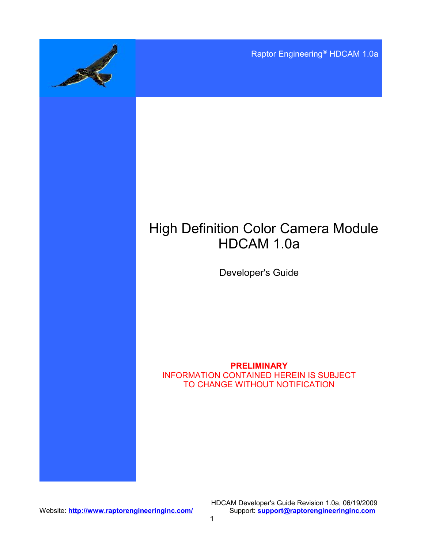Raptor Engineering® HDCAM 1.0a

# High Definition Color Camera Module HDCAM 1.0a

Developer's Guide

#### **PRELIMINARY** INFORMATION CONTAINED HEREIN IS SUBJECT TO CHANGE WITHOUT NOTIFICATION

Website: **<http://www.raptorengineeringinc.com/>** 

HDCAM Developer's Guide Revision 1.0a, 06/19/2009<br>Support: **support@raptorengineeringinc.com**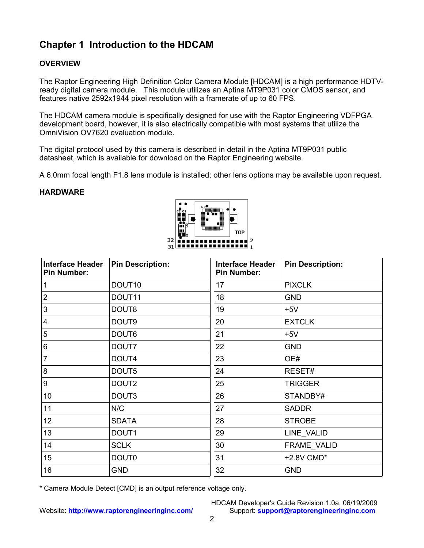# **Chapter 1 Introduction to the HDCAM**

### **OVERVIEW**

The Raptor Engineering High Definition Color Camera Module [HDCAM] is a high performance HDTVready digital camera module. This module utilizes an Aptina MT9P031 color CMOS sensor, and features native 2592x1944 pixel resolution with a framerate of up to 60 FPS.

The HDCAM camera module is specifically designed for use with the Raptor Engineering VDFPGA development board, however, it is also electrically compatible with most systems that utilize the OmniVision OV7620 evaluation module.

The digital protocol used by this camera is described in detail in the Aptina MT9P031 public datasheet, which is available for download on the Raptor Engineering website.

A 6.0mm focal length F1.8 lens module is installed; other lens options may be available upon request.

#### **HARDWARE**



| <b>Interface Header</b><br><b>Pin Number:</b> | <b>Pin Description:</b> | <b>Interface Header</b><br><b>Pin Number:</b> | <b>Pin Description:</b> |
|-----------------------------------------------|-------------------------|-----------------------------------------------|-------------------------|
| 1                                             | DOUT <sub>10</sub>      | 17                                            | <b>PIXCLK</b>           |
| 2                                             | DOUT <sub>11</sub>      | 18                                            | <b>GND</b>              |
| 3                                             | DOUT8                   | 19                                            | $+5V$                   |
| 4                                             | DOUT9                   | 20                                            | <b>EXTCLK</b>           |
| 5                                             | DOUT6                   | 21                                            | $+5V$                   |
| 6                                             | DOUT7                   | 22                                            | <b>GND</b>              |
| 7                                             | DOUT4                   | 23                                            | OE#                     |
| 8                                             | DOUT5                   | 24                                            | RESET#                  |
| 9                                             | DOUT <sub>2</sub>       | 25                                            | <b>TRIGGER</b>          |
| 10                                            | DOUT3                   | 26                                            | STANDBY#                |
| 11                                            | N/C                     | 27                                            | <b>SADDR</b>            |
| 12 <sup>°</sup>                               | <b>SDATA</b>            | 28                                            | <b>STROBE</b>           |
| 13                                            | DOUT1                   | 29                                            | LINE_VALID              |
| 14                                            | <b>SCLK</b>             | 30                                            | FRAME_VALID             |
| 15                                            | DOUT <sub>0</sub>       | 31                                            | +2.8V CMD*              |
| 16                                            | <b>GND</b>              | 32                                            | <b>GND</b>              |

\* Camera Module Detect [CMD] is an output reference voltage only.

HDCAM Developer's Guide Revision 1.0a, 06/19/2009 Website: **<http://www.raptorengineeringinc.com/>** Support: **[support@raptorengineeringinc.com](mailto:support@raptorengineeringinc.com)**